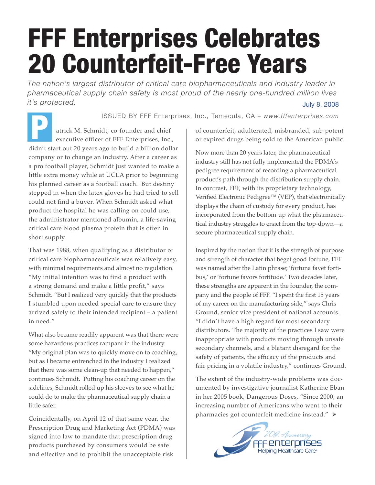## FFF Enterprises Celebrates 20 Counterfeit-Free Years

July 8, 2008 *The nation's largest distributor of critical care biopharmaceuticals and industry leader in pharmaceutical supply chain safety is most proud of the nearly one-hundred million lives it's protected.*

P ISSUED BY FFF Enterprises, Inc., Temecula, CA – *www.fffenterprises.com*

atrick M. Schmidt, co-founder and chief executive officer of FFF Enterprises, Inc., didn't start out 20 years ago to build a billion dollar company or to change an industry. After a career as a pro football player, Schmidt just wanted to make a little extra money while at UCLA prior to beginning his planned career as a football coach. But destiny stepped in when the latex gloves he had tried to sell could not find a buyer. When Schmidt asked what product the hospital he was calling on could use, the administrator mentioned albumin, a life-saving critical care blood plasma protein that is often in short supply.

That was 1988, when qualifying as a distributor of critical care biopharmaceuticals was relatively easy, with minimal requirements and almost no regulation. "My initial intention was to find a product with a strong demand and make a little profit," says Schmidt. "But I realized very quickly that the products I stumbled upon needed special care to ensure they arrived safely to their intended recipient – a patient in need."

What also became readily apparent was that there were some hazardous practices rampant in the industry. "My original plan was to quickly move on to coaching, but as I became entrenched in the industry I realized that there was some clean-up that needed to happen," continues Schmidt. Putting his coaching career on the sidelines, Schmidt rolled up his sleeves to see what he could do to make the pharmaceutical supply chain a little safer.

Coincidentally, on April 12 of that same year, the Prescription Drug and Marketing Act (PDMA) was signed into law to mandate that prescription drug products purchased by consumers would be safe and effective and to prohibit the unacceptable risk

of counterfeit, adulterated, misbranded, sub-potent or expired drugs being sold to the American public.

Now more than 20 years later, the pharmaceutical industry still has not fully implemented the PDMA's pedigree requirement of recording a pharmaceutical product's path through the distribution supply chain. In contrast, FFF, with its proprietary technology, Verified Electronic Pedigree™ (VEP), that electronically displays the chain of custody for every product, has incorporated from the bottom-up what the pharmaceutical industry struggles to enact from the top-down—a secure pharmaceutical supply chain.

Inspired by the notion that it is the strength of purpose and strength of character that beget good fortune, FFF was named after the Latin phrase; 'fortuna favet fortibus,' or 'fortune favors fortitude.' Two decades later, these strengths are apparent in the founder, the company and the people of FFF. "I spent the first 15 years of my career on the manufacturing side," says Chris Ground, senior vice president of national accounts. "I didn't have a high regard for most secondary distributors. The majority of the practices I saw were inappropriate with products moving through unsafe secondary channels, and a blatant disregard for the safety of patients, the efficacy of the products and fair pricing in a volatile industry," continues Ground.

The extent of the industry-wide problems was documented by investigative journalist Katherine Eban in her 2005 book, Dangerous Doses, "Since 2000, an increasing number of Americans who went to their pharmacies got counterfeit medicine instead." >